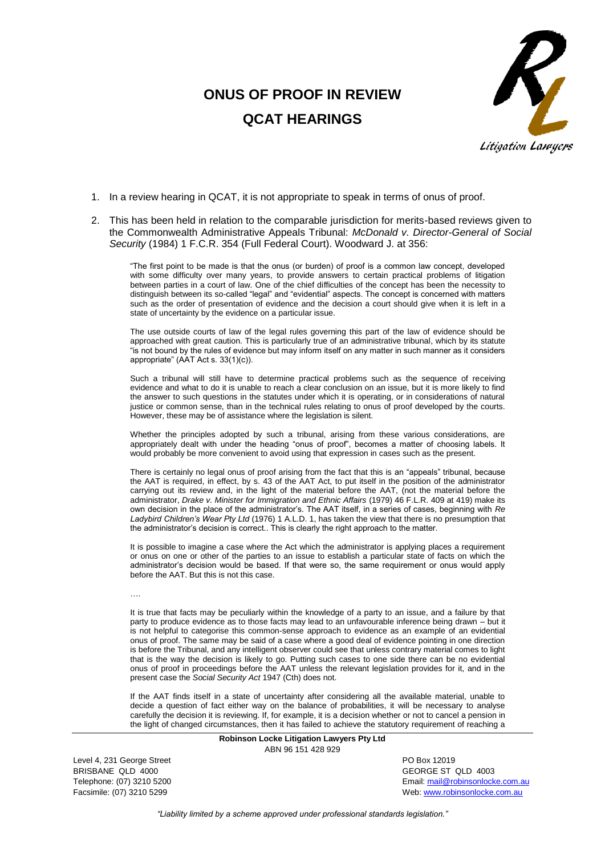## **ONUS OF PROOF IN REVIEW QCAT HEARINGS**



- 1. In a review hearing in QCAT, it is not appropriate to speak in terms of onus of proof.
- 2. This has been held in relation to the comparable jurisdiction for merits-based reviews given to the Commonwealth Administrative Appeals Tribunal: *McDonald v. Director-General of Social Security* (1984) 1 F.C.R. 354 (Full Federal Court). Woodward J. at 356:

"The first point to be made is that the onus (or burden) of proof is a common law concept, developed with some difficulty over many years, to provide answers to certain practical problems of litigation between parties in a court of law. One of the chief difficulties of the concept has been the necessity to distinguish between its so-called "legal" and "evidential" aspects. The concept is concerned with matters such as the order of presentation of evidence and the decision a court should give when it is left in a state of uncertainty by the evidence on a particular issue.

The use outside courts of law of the legal rules governing this part of the law of evidence should be approached with great caution. This is particularly true of an administrative tribunal, which by its statute "is not bound by the rules of evidence but may inform itself on any matter in such manner as it considers appropriate" (AAT Act s. 33(1)(c)).

Such a tribunal will still have to determine practical problems such as the sequence of receiving evidence and what to do it is unable to reach a clear conclusion on an issue, but it is more likely to find the answer to such questions in the statutes under which it is operating, or in considerations of natural justice or common sense, than in the technical rules relating to onus of proof developed by the courts. However, these may be of assistance where the legislation is silent.

Whether the principles adopted by such a tribunal, arising from these various considerations, are appropriately dealt with under the heading "onus of proof", becomes a matter of choosing labels. It would probably be more convenient to avoid using that expression in cases such as the present.

There is certainly no legal onus of proof arising from the fact that this is an "appeals" tribunal, because the AAT is required, in effect, by s. 43 of the AAT Act, to put itself in the position of the administrator carrying out its review and, in the light of the material before the AAT, (not the material before the administrator, *Drake v. Minister for Immigration and Ethnic Affairs* (1979) 46 F.L.R. 409 at 419) make its own decision in the place of the administrator's. The AAT itself, in a series of cases, beginning with *Re Ladybird Children's Wear Pty Ltd* (1976) 1 A.L.D. 1, has taken the view that there is no presumption that the administrator's decision is correct.. This is clearly the right approach to the matter.

It is possible to imagine a case where the Act which the administrator is applying places a requirement or onus on one or other of the parties to an issue to establish a particular state of facts on which the administrator's decision would be based. If that were so, the same requirement or onus would apply before the AAT. But this is not this case.

….

It is true that facts may be peculiarly within the knowledge of a party to an issue, and a failure by that party to produce evidence as to those facts may lead to an unfavourable inference being drawn – but it is not helpful to categorise this common-sense approach to evidence as an example of an evidential onus of proof. The same may be said of a case where a good deal of evidence pointing in one direction is before the Tribunal, and any intelligent observer could see that unless contrary material comes to light that is the way the decision is likely to go. Putting such cases to one side there can be no evidential onus of proof in proceedings before the AAT unless the relevant legislation provides for it, and in the present case the *Social Security Act* 1947 (Cth) does not.

If the AAT finds itself in a state of uncertainty after considering all the available material, unable to decide a question of fact either way on the balance of probabilities, it will be necessary to analyse carefully the decision it is reviewing. If, for example, it is a decision whether or not to cancel a pension in the light of changed circumstances, then it has failed to achieve the statutory requirement of reaching a

> **Robinson Locke Litigation Lawyers Pty Ltd** ABN 96 151 428 929

Level 4, 231 George Street **PO Box 12019** BRISBANE QLD 4000 GEORGE ST QLD 4003

Telephone: (07) 3210 5200 **Email:** mail@robinsonlocke.com.au **Email:** mail@robinsonlocke.com.au Facsimile: (07) 3210 5299 Web: [www.robinsonlocke.com.au](http://www.robinsonlocke.com.au/)

*"Liability limited by a scheme approved under professional standards legislation."*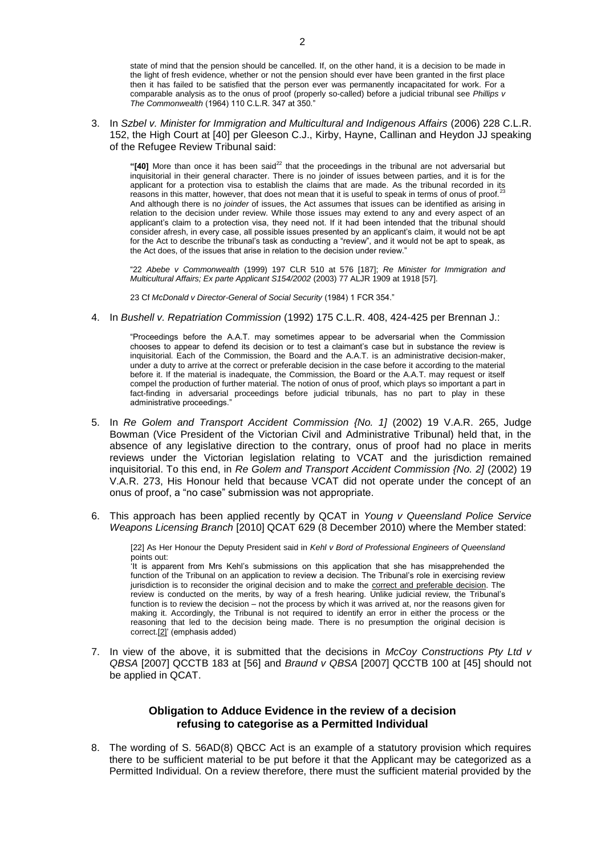state of mind that the pension should be cancelled. If, on the other hand, it is a decision to be made in the light of fresh evidence, whether or not the pension should ever have been granted in the first place then it has failed to be satisfied that the person ever was permanently incapacitated for work. For a comparable analysis as to the onus of proof (properly so-called) before a judicial tribunal see *Phillips v The Commonwealth* (1964) 110 C.L.R. 347 at 350."

3. In *Szbel v. Minister for Immigration and Multicultural and Indigenous Affairs* (2006) 228 C.L.R. 152, the High Court at [40] per Gleeson C.J., Kirby, Hayne, Callinan and Heydon JJ speaking of the Refugee Review Tribunal said:

"[40] More than once it has been said<sup>22</sup> that the proceedings in the tribunal are not adversarial but inquisitorial in their general character. There is no joinder of issues between parties, and it is for the applicant for a protection visa to establish the claims that are made. As the tribunal recorded in its reasons in this matter, however, that does not mean that it is useful to speak in terms of onus of proof.<sup>2</sup> And although there is no *joinder* of issues, the Act assumes that issues can be identified as arising in relation to the decision under review. While those issues may extend to any and every aspect of an applicant's claim to a protection visa, they need not. If it had been intended that the tribunal should consider afresh, in every case, all possible issues presented by an applicant's claim, it would not be apt for the Act to describe the tribunal's task as conducting a "review", and it would not be apt to speak, as the Act does, of the issues that arise in relation to the decision under review."

"22 *Abebe v Commonwealth* (1999) 197 CLR 510 at 576 [187]; *Re Minister for Immigration and Multicultural Affairs; Ex parte Applicant S154/2002* (2003) 77 ALJR 1909 at 1918 [57].

[23](http://www.lexisnexis.com/au/legal/frame.do?reloadEntirePage=true&rand=1256540166396&returnToKey=20_T7690998493&parent=docview&target=results_DocumentContent&tokenKey=rsh-23.591524.7948615741#23-r#23-r) Cf *McDonald v Director-General of Social Security* (1984) 1 FCR 354."

4. In *Bushell v. Repatriation Commission* (1992) 175 C.L.R. 408, 424-425 per Brennan J.:

"Proceedings before the A.A.T. may sometimes appear to be adversarial when the Commission chooses to appear to defend its decision or to test a claimant's case but in substance the review is inquisitorial. Each of the Commission, the Board and the A.A.T. is an administrative decision-maker, under a duty to arrive at the correct or preferable decision in the case before it according to the material before it. If the material is inadequate, the Commission, the Board or the A.A.T. may request or itself compel the production of further material. The notion of onus of proof, which plays so important a part in fact-finding in adversarial proceedings before judicial tribunals, has no part to play in these administrative proceedings.

- 5. In *Re Golem and Transport Accident Commission {No. 1]* (2002) 19 V.A.R. 265, Judge Bowman (Vice President of the Victorian Civil and Administrative Tribunal) held that, in the absence of any legislative direction to the contrary, onus of proof had no place in merits reviews under the Victorian legislation relating to VCAT and the jurisdiction remained inquisitorial. To this end, in *Re Golem and Transport Accident Commission {No. 2]* (2002) 19 V.A.R. 273, His Honour held that because VCAT did not operate under the concept of an onus of proof, a "no case" submission was not appropriate.
- 6. This approach has been applied recently by QCAT in *Young v Queensland Police Service Weapons Licensing Branch* [2010] QCAT 629 (8 December 2010) where the Member stated:

[22] As Her Honour the Deputy President said in *Kehl v Bord of Professional Engineers of Queensland* points out:

'It is apparent from Mrs Kehl's submissions on this application that she has misapprehended the function of the Tribunal on an application to review a decision. The Tribunal's role in exercising review jurisdiction is to reconsider the original decision and to make the correct and preferable decision. The review is conducted on the merits, by way of a fresh hearing. Unlike judicial review, the Tribunal's function is to review the decision – not the process by which it was arrived at, nor the reasons given for making it. Accordingly, the Tribunal is not required to identify an error in either the process or the reasoning that led to the decision being made. There is no presumption the original decision is correc[t.\[2\]'](http://www.austlii.edu.au/cgi-bin/sinodisp/au/cases/qld/QCAT/2010/629.html?stem=0&synonyms=0&query=fit%20and%20proper%20and%20person#fn2#fn2) (emphasis added)

7. In view of the above, it is submitted that the decisions in *McCoy Constructions Pty Ltd v QBSA* [2007] QCCTB 183 at [56] and *Braund v QBSA* [2007] QCCTB 100 at [45] should not be applied in QCAT.

## **Obligation to Adduce Evidence in the review of a decision refusing to categorise as a Permitted Individual**

8. The wording of S. 56AD(8) QBCC Act is an example of a statutory provision which requires there to be sufficient material to be put before it that the Applicant may be categorized as a Permitted Individual. On a review therefore, there must the sufficient material provided by the